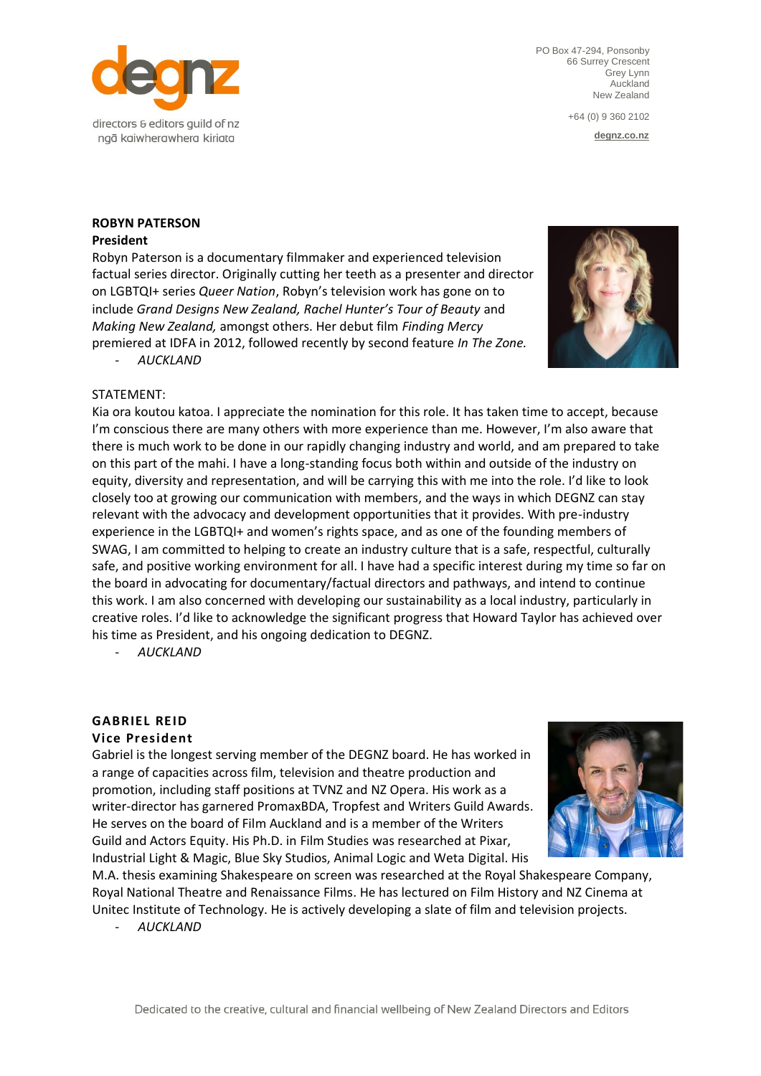

PO Box 47-294, Ponsonby 66 Surrey Crescent Grey Lynn Auckland New Zealand

+64 (0) 9 360 2102

**[degnz.co.nz](http://www.sdgnz.co.nz/)**

# **ROBYN PATERSON**

## **President**

Robyn Paterson is a documentary filmmaker and experienced television factual series director. Originally cutting her teeth as a presenter and director on LGBTQI+ series *Queer Nation*, Robyn's television work has gone on to include *Grand Designs New Zealand, Rachel Hunter's Tour of Beauty* and *Making New Zealand,* amongst others. Her debut film *Finding Mercy*  premiered at IDFA in 2012, followed recently by second feature *In The Zone.*



- *AUCKLAND*

## STATEMENT:

Kia ora koutou katoa. I appreciate the nomination for this role. It has taken time to accept, because I'm conscious there are many others with more experience than me. However, I'm also aware that there is much work to be done in our rapidly changing industry and world, and am prepared to take on this part of the mahi. I have a long-standing focus both within and outside of the industry on equity, diversity and representation, and will be carrying this with me into the role. I'd like to look closely too at growing our communication with members, and the ways in which DEGNZ can stay relevant with the advocacy and development opportunities that it provides. With pre-industry experience in the LGBTQI+ and women's rights space, and as one of the founding members of SWAG, I am committed to helping to create an industry culture that is a safe, respectful, culturally safe, and positive working environment for all. I have had a specific interest during my time so far on the board in advocating for documentary/factual directors and pathways, and intend to continue this work. I am also concerned with developing our sustainability as a local industry, particularly in creative roles. I'd like to acknowledge the significant progress that Howard Taylor has achieved over his time as President, and his ongoing dedication to DEGNZ.

- *AUCKLAND*

## **GABRIEL REID**

## **Vice President**

Gabriel is the longest serving member of the DEGNZ board. He has worked in a range of capacities across film, television and theatre production and promotion, including staff positions at TVNZ and NZ Opera. His work as a writer-director has garnered PromaxBDA, Tropfest and Writers Guild Awards. He serves on the board of Film Auckland and is a member of the Writers Guild and Actors Equity. His Ph.D. in Film Studies was researched at Pixar, Industrial Light & Magic, Blue Sky Studios, Animal Logic and Weta Digital. His



M.A. thesis examining Shakespeare on screen was researched at the Royal Shakespeare Company, Royal National Theatre and Renaissance Films. He has lectured on Film History and NZ Cinema at Unitec Institute of Technology. He is actively developing a slate of film and television projects.

- *AUCKLAND*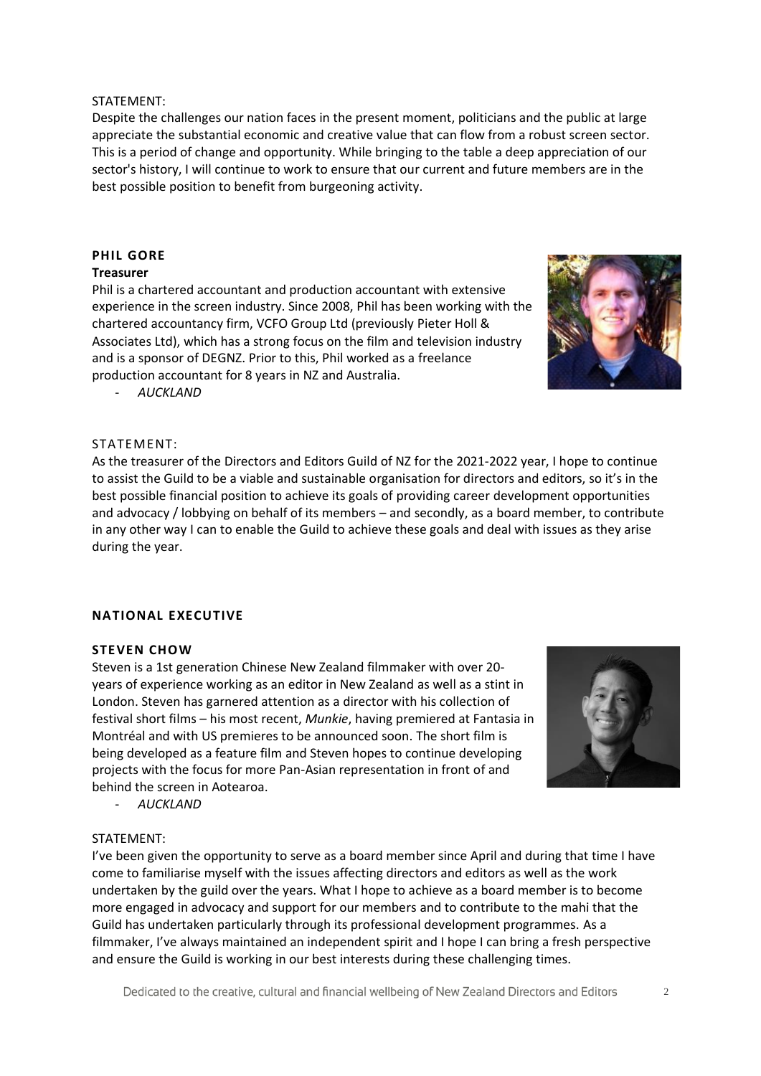#### STATEMENT:

Despite the challenges our nation faces in the present moment, politicians and the public at large appreciate the substantial economic and creative value that can flow from a robust screen sector. This is a period of change and opportunity. While bringing to the table a deep appreciation of our sector's history, I will continue to work to ensure that our current and future members are in the best possible position to benefit from burgeoning activity.

## **PHIL GORE**

#### **Treasurer**

Phil is a chartered accountant and production accountant with extensive experience in the screen industry. Since 2008, Phil has been working with the chartered accountancy firm, VCFO Group Ltd (previously Pieter Holl & Associates Ltd), which has a strong focus on the film and television industry and is a sponsor of DEGNZ. Prior to this, Phil worked as a freelance production accountant for 8 years in NZ and Australia.

- *AUCKLAND*

## STATEMENT:

As the treasurer of the Directors and Editors Guild of NZ for the 2021-2022 year, I hope to continue to assist the Guild to be a viable and sustainable organisation for directors and editors, so it's in the best possible financial position to achieve its goals of providing career development opportunities and advocacy / lobbying on behalf of its members – and secondly, as a board member, to contribute in any other way I can to enable the Guild to achieve these goals and deal with issues as they arise during the year.

## **NATIONAL EXECUTIVE**

#### **STEVEN CHOW**

Steven is a 1st generation Chinese New Zealand filmmaker with over 20 years of experience working as an editor in New Zealand as well as a stint in London. Steven has garnered attention as a director with his collection of festival short films – his most recent, *Munkie*, having premiered at Fantasia in Montréal and with US premieres to be announced soon. The short film is being developed as a feature film and Steven hopes to continue developing projects with the focus for more Pan-Asian representation in front of and behind the screen in Aotearoa.

- *AUCKLAND*

## STATEMENT:

I've been given the opportunity to serve as a board member since April and during that time I have come to familiarise myself with the issues affecting directors and editors as well as the work undertaken by the guild over the years. What I hope to achieve as a board member is to become more engaged in advocacy and support for our members and to contribute to the mahi that the Guild has undertaken particularly through its professional development programmes. As a filmmaker, I've always maintained an independent spirit and I hope I can bring a fresh perspective and ensure the Guild is working in our best interests during these challenging times.



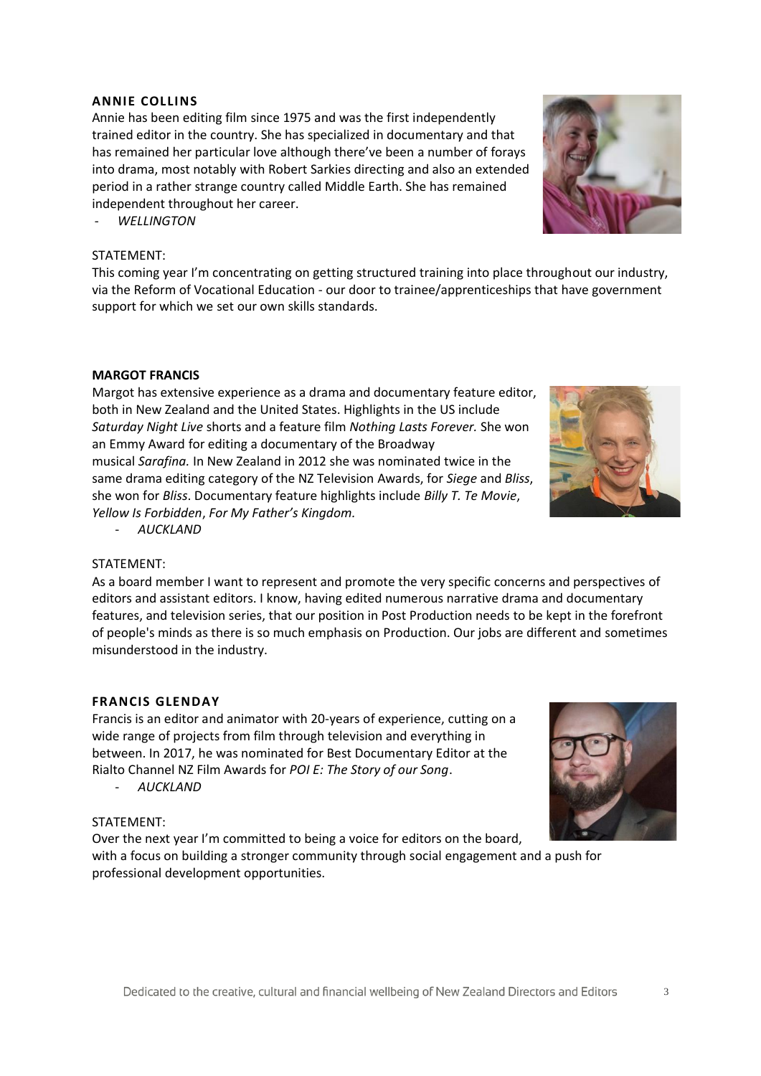## **ANNIE COLLINS**

Annie has been editing film since 1975 and was the first independently trained editor in the country. She has specialized in documentary and that has remained her particular love although there've been a number of forays into drama, most notably with Robert Sarkies directing and also an extended period in a rather strange country called Middle Earth. She has remained independent throughout her career.

- *WELLINGTON*

## STATEMENT:

This coming year I'm concentrating on getting structured training into place throughout our industry, via the Reform of Vocational Education - our door to trainee/apprenticeships that have government support for which we set our own skills standards.

## **MARGOT FRANCIS**

Margot has extensive experience as a drama and documentary feature editor, both in New Zealand and the United States. Highlights in the US include *Saturday Night Live* shorts and a feature film *Nothing Lasts Forever.* She won an Emmy Award for editing a documentary of the Broadway musical *Sarafina.* In New Zealand in 2012 she was nominated twice in the same drama editing category of the NZ Television Awards, for *Siege* and *Bliss*, she won for *Bliss*. Documentary feature highlights include *Billy T. Te Movie*, *Yellow Is Forbidden*, *For My Father's Kingdom.*

- *AUCKLAND*

## STATEMENT:

As a board member I want to represent and promote the very specific concerns and perspectives of editors and assistant editors. I know, having edited numerous narrative drama and documentary features, and television series, that our position in Post Production needs to be kept in the forefront of people's minds as there is so much emphasis on Production. Our jobs are different and sometimes misunderstood in the industry.

#### **FRANCIS GLENDAY**

Francis is an editor and animator with 20-years of experience, cutting on a wide range of projects from film through television and everything in between. In 2017, he was nominated for Best Documentary Editor at the Rialto Channel NZ Film Awards for *POI E: The Story of our Song*.

- *AUCKLAND*

## STATEMENT:

Over the next year I'm committed to being a voice for editors on the board,

with a focus on building a stronger community through social engagement and a push for professional development opportunities.





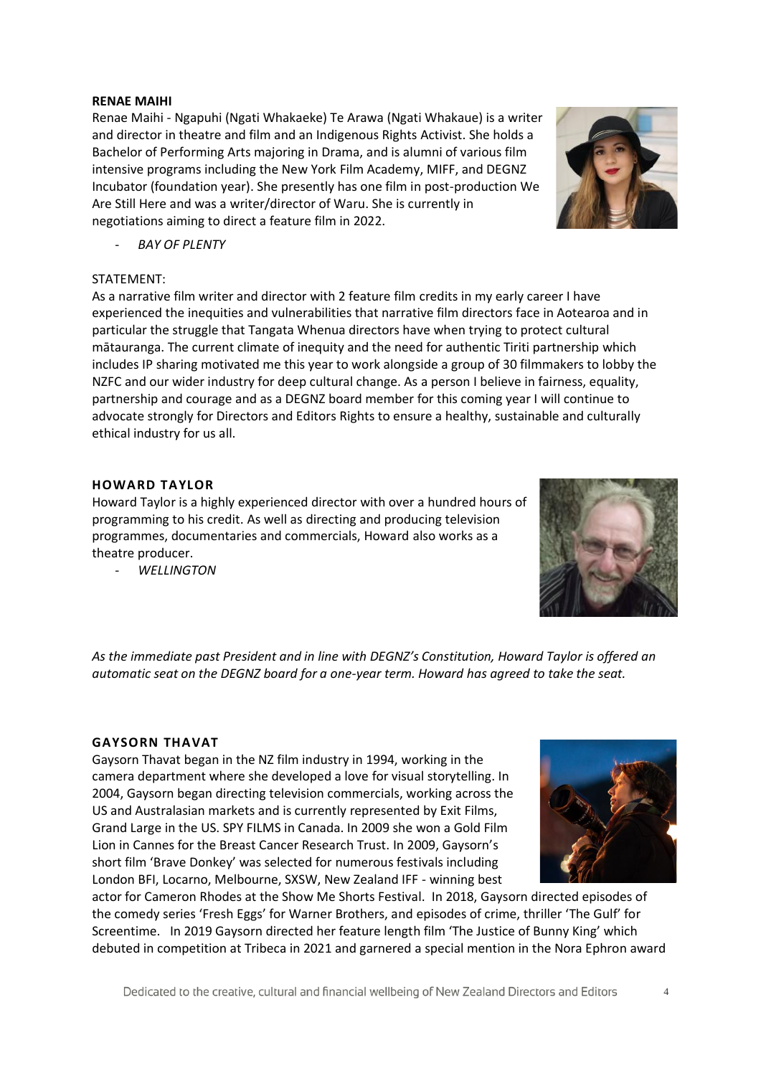#### **RENAE MAIHI**

Renae Maihi - Ngapuhi (Ngati Whakaeke) Te Arawa (Ngati Whakaue) is a writer and director in theatre and film and an Indigenous Rights Activist. She holds a Bachelor of Performing Arts majoring in Drama, and is alumni of various film intensive programs including the New York Film Academy, MIFF, and DEGNZ Incubator (foundation year). She presently has one film in post-production We Are Still Here and was a writer/director of Waru. She is currently in negotiations aiming to direct a feature film in 2022.

- *BAY OF PLENTY*

## STATEMENT:

As a narrative film writer and director with 2 feature film credits in my early career I have experienced the inequities and vulnerabilities that narrative film directors face in Aotearoa and in particular the struggle that Tangata Whenua directors have when trying to protect cultural mātauranga. The current climate of inequity and the need for authentic Tiriti partnership which includes IP sharing motivated me this year to work alongside a group of 30 filmmakers to lobby the NZFC and our wider industry for deep cultural change. As a person I believe in fairness, equality, partnership and courage and as a DEGNZ board member for this coming year I will continue to advocate strongly for Directors and Editors Rights to ensure a healthy, sustainable and culturally ethical industry for us all.

## **HOWARD TAYLOR**

Howard Taylor is a highly experienced director with over a hundred hours of programming to his credit. As well as directing and producing television programmes, documentaries and commercials, Howard also works as a theatre producer.

- *WELLINGTON*

*As the immediate past President and in line with DEGNZ's Constitution, Howard Taylor is offered an automatic seat on the DEGNZ board for a one-year term. Howard has agreed to take the seat.*

#### **GAYSORN THAVAT**

Gaysorn Thavat began in the NZ film industry in 1994, working in the camera department where she developed a love for visual storytelling. In 2004, Gaysorn began directing television commercials, working across the US and Australasian markets and is currently represented by Exit Films, Grand Large in the US. SPY FILMS in Canada. In 2009 she won a Gold Film Lion in Cannes for the Breast Cancer Research Trust. In 2009, Gaysorn's short film 'Brave Donkey' was selected for numerous festivals including London BFI, Locarno, Melbourne, SXSW, New Zealand IFF - winning best

actor for Cameron Rhodes at the Show Me Shorts Festival. In 2018, Gaysorn directed episodes of the comedy series 'Fresh Eggs' for Warner Brothers, and episodes of crime, thriller 'The Gulf' for Screentime. In 2019 Gaysorn directed her feature length film 'The Justice of Bunny King' which debuted in competition at Tribeca in 2021 and garnered a special mention in the Nora Ephron award